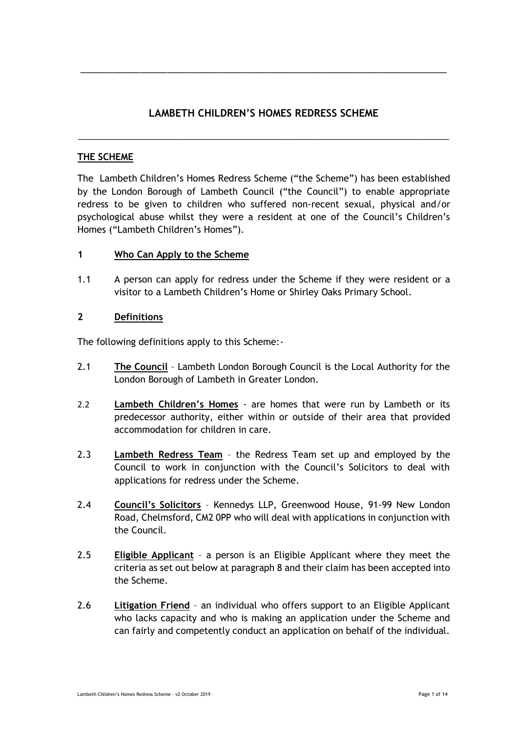# **LAMBETH CHILDREN'S HOMES REDRESS SCHEME**

\_\_\_\_\_\_\_\_\_\_\_\_\_\_\_\_\_\_\_\_\_\_\_\_\_\_\_\_\_\_\_\_\_\_\_\_\_\_\_\_\_\_\_\_\_\_\_\_\_\_\_\_\_\_\_\_\_\_\_\_\_\_\_\_\_\_\_\_\_\_\_\_\_\_

\_\_\_\_\_\_\_\_\_\_\_\_\_\_\_\_\_\_\_\_\_\_\_\_\_\_\_\_\_\_\_\_\_\_\_\_\_\_\_\_\_\_\_\_\_\_\_\_\_\_\_\_\_\_\_\_\_\_\_\_\_\_\_\_\_\_\_

### **THE SCHEME**

The Lambeth Children's Homes Redress Scheme ("the Scheme") has been established by the London Borough of Lambeth Council ("the Council") to enable appropriate redress to be given to children who suffered non-recent sexual, physical and/or psychological abuse whilst they were a resident at one of the Council's Children's Homes ("Lambeth Children's Homes").

### **1 Who Can Apply to the Scheme**

1.1 A person can apply for redress under the Scheme if they were resident or a visitor to a Lambeth Children's Home or Shirley Oaks Primary School.

### **2 Definitions**

The following definitions apply to this Scheme:-

- 2.1 **The Council** Lambeth London Borough Council is the Local Authority for the London Borough of Lambeth in Greater London.
- 2.2 **Lambeth Children's Homes** are homes that were run by Lambeth or its predecessor authority, either within or outside of their area that provided accommodation for children in care.
- 2.3 **Lambeth Redress Team** the Redress Team set up and employed by the Council to work in conjunction with the Council's Solicitors to deal with applications for redress under the Scheme.
- 2.4 **Council's Solicitors** Kennedys LLP, Greenwood House, 91-99 New London Road, Chelmsford, CM2 0PP who will deal with applications in conjunction with the Council.
- 2.5 **Eligible Applicant** a person is an Eligible Applicant where they meet the criteria as set out below at paragraph 8 and their claim has been accepted into the Scheme.
- 2.6 **Litigation Friend** an individual who offers support to an Eligible Applicant who lacks capacity and who is making an application under the Scheme and can fairly and competently conduct an application on behalf of the individual.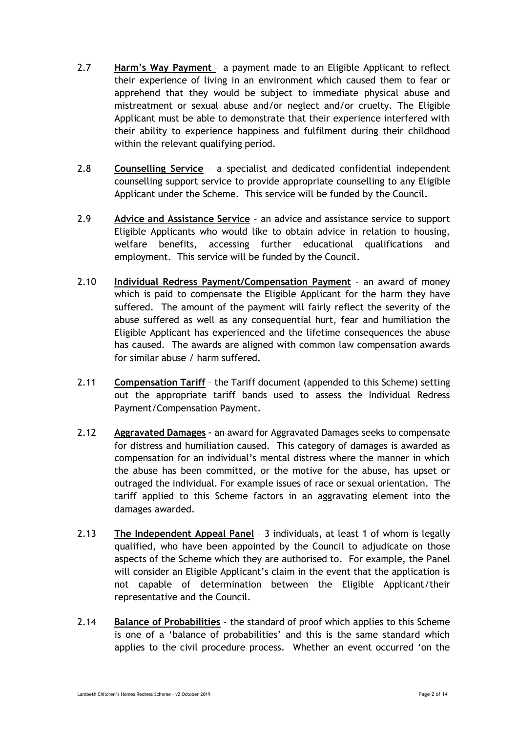- 2.7 **Harm's Way Payment** a payment made to an Eligible Applicant to reflect their experience of living in an environment which caused them to fear or apprehend that they would be subject to immediate physical abuse and mistreatment or sexual abuse and/or neglect and/or cruelty. The Eligible Applicant must be able to demonstrate that their experience interfered with their ability to experience happiness and fulfilment during their childhood within the relevant qualifying period.
- 2.8 **Counselling Service** a specialist and dedicated confidential independent counselling support service to provide appropriate counselling to any Eligible Applicant under the Scheme. This service will be funded by the Council.
- 2.9 **Advice and Assistance Service** an advice and assistance service to support Eligible Applicants who would like to obtain advice in relation to housing, welfare benefits, accessing further educational qualifications and employment. This service will be funded by the Council.
- 2.10 **Individual Redress Payment/Compensation Payment** an award of money which is paid to compensate the Eligible Applicant for the harm they have suffered. The amount of the payment will fairly reflect the severity of the abuse suffered as well as any consequential hurt, fear and humiliation the Eligible Applicant has experienced and the lifetime consequences the abuse has caused. The awards are aligned with common law compensation awards for similar abuse / harm suffered.
- 2.11 **Compensation Tariff** the Tariff document (appended to this Scheme) setting out the appropriate tariff bands used to assess the Individual Redress Payment/Compensation Payment.
- 2.12 **Aggravated Damages –** an award for Aggravated Damages seeks to compensate for distress and humiliation caused. This category of damages is awarded as compensation for an individual's mental distress where the manner in which the abuse has been committed, or the motive for the abuse, has upset or outraged the individual. For example issues of race or sexual orientation. The tariff applied to this Scheme factors in an aggravating element into the damages awarded.
- 2.13 **The Independent Appeal Panel** 3 individuals, at least 1 of whom is legally qualified, who have been appointed by the Council to adjudicate on those aspects of the Scheme which they are authorised to. For example, the Panel will consider an Eligible Applicant's claim in the event that the application is not capable of determination between the Eligible Applicant/their representative and the Council.
- 2.14 **Balance of Probabilities** the standard of proof which applies to this Scheme is one of a 'balance of probabilities' and this is the same standard which applies to the civil procedure process. Whether an event occurred 'on the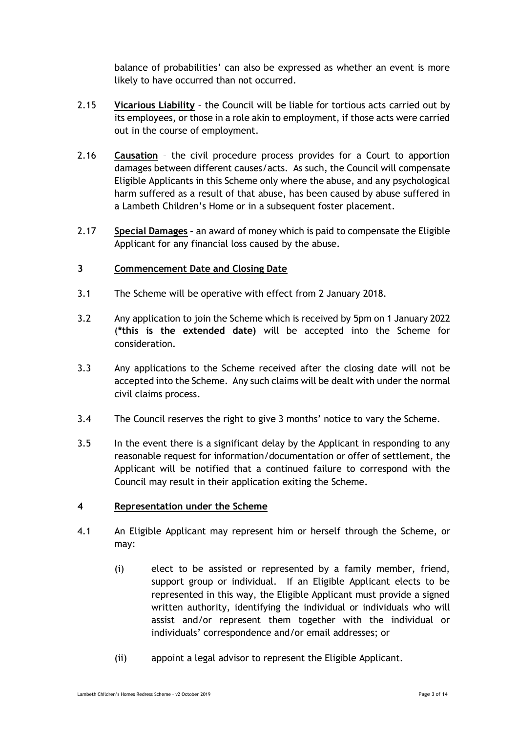balance of probabilities' can also be expressed as whether an event is more likely to have occurred than not occurred.

- 2.15 **Vicarious Liability** the Council will be liable for tortious acts carried out by its employees, or those in a role akin to employment, if those acts were carried out in the course of employment.
- 2.16 **Causation** the civil procedure process provides for a Court to apportion damages between different causes/acts. As such, the Council will compensate Eligible Applicants in this Scheme only where the abuse, and any psychological harm suffered as a result of that abuse, has been caused by abuse suffered in a Lambeth Children's Home or in a subsequent foster placement.
- 2.17 **Special Damages -** an award of money which is paid to compensate the Eligible Applicant for any financial loss caused by the abuse.

### **3 Commencement Date and Closing Date**

- 3.1 The Scheme will be operative with effect from 2 January 2018.
- 3.2 Any application to join the Scheme which is received by 5pm on 1 January 2022 (**\*this is the extended date)** will be accepted into the Scheme for consideration.
- 3.3 Any applications to the Scheme received after the closing date will not be accepted into the Scheme. Any such claims will be dealt with under the normal civil claims process.
- 3.4 The Council reserves the right to give 3 months' notice to vary the Scheme.
- 3.5 In the event there is a significant delay by the Applicant in responding to any reasonable request for information/documentation or offer of settlement, the Applicant will be notified that a continued failure to correspond with the Council may result in their application exiting the Scheme.

### **4 Representation under the Scheme**

- 4.1 An Eligible Applicant may represent him or herself through the Scheme, or may:
	- (i) elect to be assisted or represented by a family member, friend, support group or individual. If an Eligible Applicant elects to be represented in this way, the Eligible Applicant must provide a signed written authority, identifying the individual or individuals who will assist and/or represent them together with the individual or individuals' correspondence and/or email addresses; or
	- (ii) appoint a legal advisor to represent the Eligible Applicant.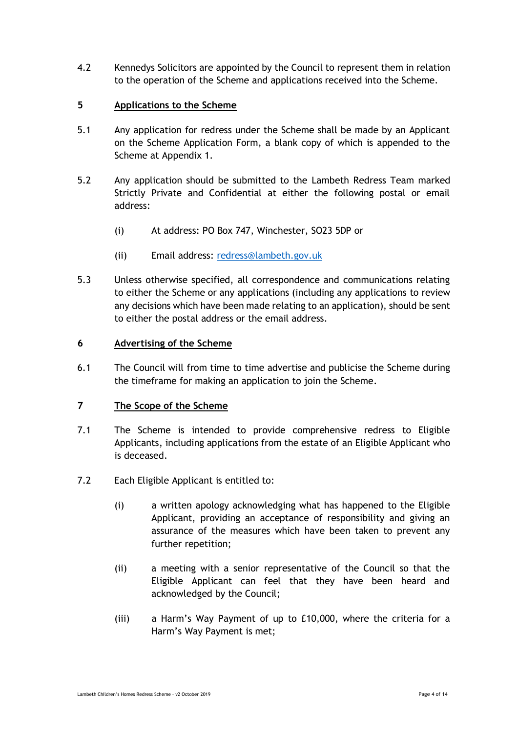4.2 Kennedys Solicitors are appointed by the Council to represent them in relation to the operation of the Scheme and applications received into the Scheme.

### **5 Applications to the Scheme**

- 5.1 Any application for redress under the Scheme shall be made by an Applicant on the Scheme Application Form, a blank copy of which is appended to the Scheme at Appendix 1.
- 5.2 Any application should be submitted to the Lambeth Redress Team marked Strictly Private and Confidential at either the following postal or email address:
	- (i) At address: PO Box 747, Winchester, SO23 5DP or
	- (ii) Email address: [redress@lambeth.gov.uk](mailto:redress@lambeth.gov.uk)
- 5.3 Unless otherwise specified, all correspondence and communications relating to either the Scheme or any applications (including any applications to review any decisions which have been made relating to an application), should be sent to either the postal address or the email address.

### **6 Advertising of the Scheme**

6.1 The Council will from time to time advertise and publicise the Scheme during the timeframe for making an application to join the Scheme.

### **7 The Scope of the Scheme**

- 7.1 The Scheme is intended to provide comprehensive redress to Eligible Applicants, including applications from the estate of an Eligible Applicant who is deceased.
- 7.2 Each Eligible Applicant is entitled to:
	- (i) a written apology acknowledging what has happened to the Eligible Applicant, providing an acceptance of responsibility and giving an assurance of the measures which have been taken to prevent any further repetition;
	- (ii) a meeting with a senior representative of the Council so that the Eligible Applicant can feel that they have been heard and acknowledged by the Council;
	- (iii) a Harm's Way Payment of up to £10,000, where the criteria for a Harm's Way Payment is met;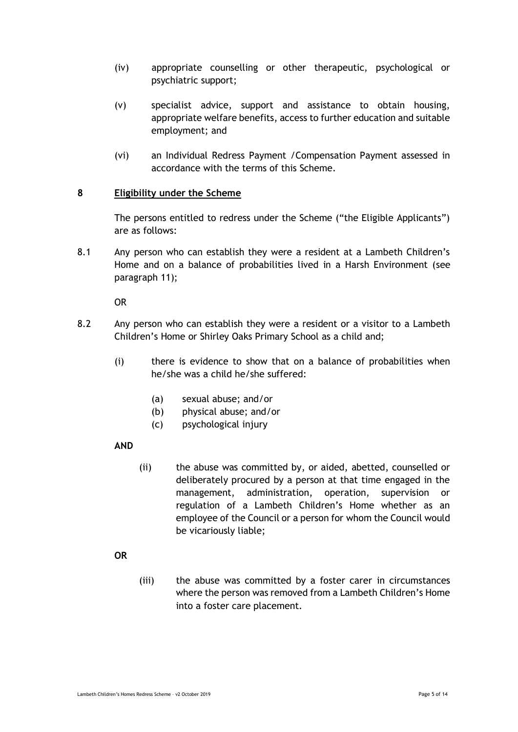- (iv) appropriate counselling or other therapeutic, psychological or psychiatric support;
- (v) specialist advice, support and assistance to obtain housing, appropriate welfare benefits, access to further education and suitable employment; and
- (vi) an Individual Redress Payment /Compensation Payment assessed in accordance with the terms of this Scheme.

### **8 Eligibility under the Scheme**

The persons entitled to redress under the Scheme ("the Eligible Applicants") are as follows:

8.1 Any person who can establish they were a resident at a Lambeth Children's Home and on a balance of probabilities lived in a Harsh Environment (see paragraph 11);

OR

- 8.2 Any person who can establish they were a resident or a visitor to a Lambeth Children's Home or Shirley Oaks Primary School as a child and;
	- (i) there is evidence to show that on a balance of probabilities when he/she was a child he/she suffered:
		- (a) sexual abuse; and/or
		- (b) physical abuse; and/or
		- (c) psychological injury

### **AND**

(ii) the abuse was committed by, or aided, abetted, counselled or deliberately procured by a person at that time engaged in the management, administration, operation, supervision or regulation of a Lambeth Children's Home whether as an employee of the Council or a person for whom the Council would be vicariously liable;

### **OR**

(iii) the abuse was committed by a foster carer in circumstances where the person was removed from a Lambeth Children's Home into a foster care placement.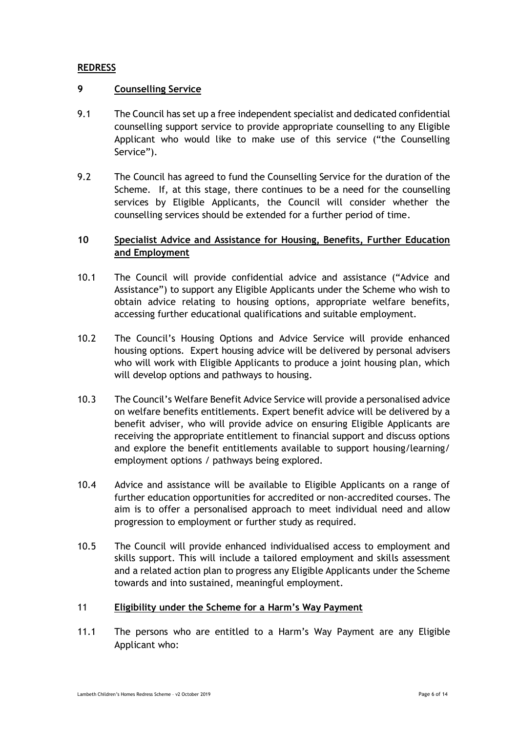### **REDRESS**

### **9 Counselling Service**

- 9.1 The Council has set up a free independent specialist and dedicated confidential counselling support service to provide appropriate counselling to any Eligible Applicant who would like to make use of this service ("the Counselling Service").
- 9.2 The Council has agreed to fund the Counselling Service for the duration of the Scheme. If, at this stage, there continues to be a need for the counselling services by Eligible Applicants, the Council will consider whether the counselling services should be extended for a further period of time.

# **10 Specialist Advice and Assistance for Housing, Benefits, Further Education and Employment**

- 10.1 The Council will provide confidential advice and assistance ("Advice and Assistance") to support any Eligible Applicants under the Scheme who wish to obtain advice relating to housing options, appropriate welfare benefits, accessing further educational qualifications and suitable employment.
- 10.2 The Council's Housing Options and Advice Service will provide enhanced housing options. Expert housing advice will be delivered by personal advisers who will work with Eligible Applicants to produce a joint housing plan, which will develop options and pathways to housing.
- 10.3 The Council's Welfare Benefit Advice Service will provide a personalised advice on welfare benefits entitlements. Expert benefit advice will be delivered by a benefit adviser, who will provide advice on ensuring Eligible Applicants are receiving the appropriate entitlement to financial support and discuss options and explore the benefit entitlements available to support housing/learning/ employment options / pathways being explored.
- 10.4 Advice and assistance will be available to Eligible Applicants on a range of further education opportunities for accredited or non-accredited courses. The aim is to offer a personalised approach to meet individual need and allow progression to employment or further study as required.
- 10.5 The Council will provide enhanced individualised access to employment and skills support. This will include a tailored employment and skills assessment and a related action plan to progress any Eligible Applicants under the Scheme towards and into sustained, meaningful employment.

### 11 **Eligibility under the Scheme for a Harm's Way Payment**

11.1 The persons who are entitled to a Harm's Way Payment are any Eligible Applicant who: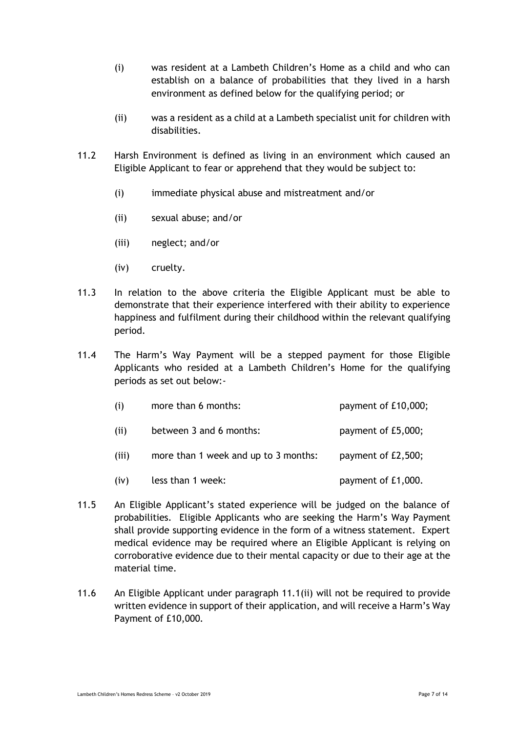- (i) was resident at a Lambeth Children's Home as a child and who can establish on a balance of probabilities that they lived in a harsh environment as defined below for the qualifying period; or
- (ii) was a resident as a child at a Lambeth specialist unit for children with disabilities.
- 11.2 Harsh Environment is defined as living in an environment which caused an Eligible Applicant to fear or apprehend that they would be subject to:
	- (i) immediate physical abuse and mistreatment and/or
	- (ii) sexual abuse; and/or
	- (iii) neglect; and/or
	- (iv) cruelty.
- 11.3 In relation to the above criteria the Eligible Applicant must be able to demonstrate that their experience interfered with their ability to experience happiness and fulfilment during their childhood within the relevant qualifying period.
- 11.4 The Harm's Way Payment will be a stepped payment for those Eligible Applicants who resided at a Lambeth Children's Home for the qualifying periods as set out below:-

| (i)   | more than 6 months:                  | payment of £10,000; |
|-------|--------------------------------------|---------------------|
| (ii)  | between 3 and 6 months:              | payment of £5,000;  |
| (iii) | more than 1 week and up to 3 months: | payment of £2,500;  |
| (iv)  | less than 1 week:                    | payment of £1,000.  |

- 11.5 An Eligible Applicant's stated experience will be judged on the balance of probabilities. Eligible Applicants who are seeking the Harm's Way Payment shall provide supporting evidence in the form of a witness statement. Expert medical evidence may be required where an Eligible Applicant is relying on corroborative evidence due to their mental capacity or due to their age at the material time.
- 11.6 An Eligible Applicant under paragraph 11.1(ii) will not be required to provide written evidence in support of their application, and will receive a Harm's Way Payment of £10,000.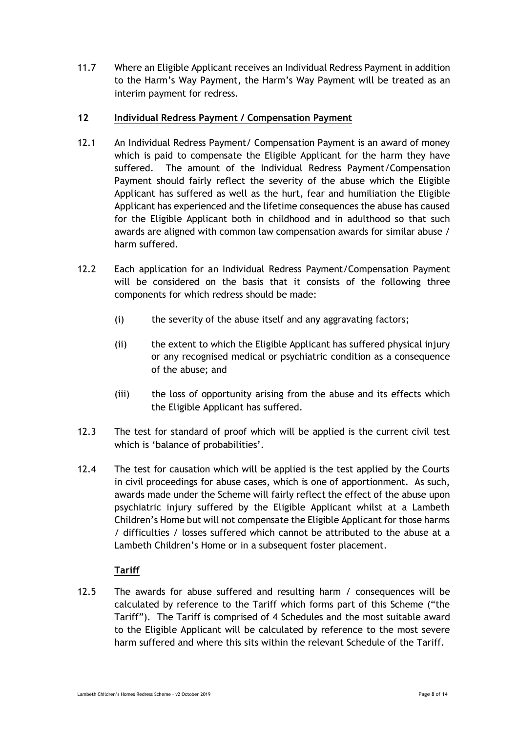11.7 Where an Eligible Applicant receives an Individual Redress Payment in addition to the Harm's Way Payment, the Harm's Way Payment will be treated as an interim payment for redress.

### **12 Individual Redress Payment / Compensation Payment**

- 12.1 An Individual Redress Payment/ Compensation Payment is an award of money which is paid to compensate the Eligible Applicant for the harm they have suffered. The amount of the Individual Redress Payment/Compensation Payment should fairly reflect the severity of the abuse which the Eligible Applicant has suffered as well as the hurt, fear and humiliation the Eligible Applicant has experienced and the lifetime consequences the abuse has caused for the Eligible Applicant both in childhood and in adulthood so that such awards are aligned with common law compensation awards for similar abuse / harm suffered.
- 12.2 Each application for an Individual Redress Payment/Compensation Payment will be considered on the basis that it consists of the following three components for which redress should be made:
	- (i) the severity of the abuse itself and any aggravating factors;
	- (ii) the extent to which the Eligible Applicant has suffered physical injury or any recognised medical or psychiatric condition as a consequence of the abuse; and
	- (iii) the loss of opportunity arising from the abuse and its effects which the Eligible Applicant has suffered.
- 12.3 The test for standard of proof which will be applied is the current civil test which is 'balance of probabilities'.
- 12.4 The test for causation which will be applied is the test applied by the Courts in civil proceedings for abuse cases, which is one of apportionment. As such, awards made under the Scheme will fairly reflect the effect of the abuse upon psychiatric injury suffered by the Eligible Applicant whilst at a Lambeth Children's Home but will not compensate the Eligible Applicant for those harms / difficulties / losses suffered which cannot be attributed to the abuse at a Lambeth Children's Home or in a subsequent foster placement.

## **Tariff**

12.5 The awards for abuse suffered and resulting harm / consequences will be calculated by reference to the Tariff which forms part of this Scheme ("the Tariff"). The Tariff is comprised of 4 Schedules and the most suitable award to the Eligible Applicant will be calculated by reference to the most severe harm suffered and where this sits within the relevant Schedule of the Tariff.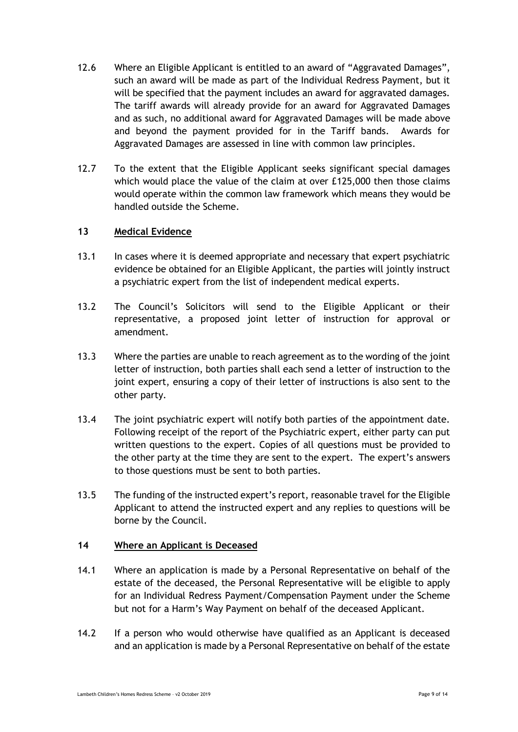- 12.6 Where an Eligible Applicant is entitled to an award of "Aggravated Damages", such an award will be made as part of the Individual Redress Payment, but it will be specified that the payment includes an award for aggravated damages. The tariff awards will already provide for an award for Aggravated Damages and as such, no additional award for Aggravated Damages will be made above and beyond the payment provided for in the Tariff bands. Awards for Aggravated Damages are assessed in line with common law principles.
- 12.7 To the extent that the Eligible Applicant seeks significant special damages which would place the value of the claim at over £125,000 then those claims would operate within the common law framework which means they would be handled outside the Scheme.

### **13 Medical Evidence**

- 13.1 In cases where it is deemed appropriate and necessary that expert psychiatric evidence be obtained for an Eligible Applicant, the parties will jointly instruct a psychiatric expert from the list of independent medical experts.
- 13.2 The Council's Solicitors will send to the Eligible Applicant or their representative, a proposed joint letter of instruction for approval or amendment.
- 13.3 Where the parties are unable to reach agreement as to the wording of the joint letter of instruction, both parties shall each send a letter of instruction to the joint expert, ensuring a copy of their letter of instructions is also sent to the other party.
- 13.4 The joint psychiatric expert will notify both parties of the appointment date. Following receipt of the report of the Psychiatric expert, either party can put written questions to the expert. Copies of all questions must be provided to the other party at the time they are sent to the expert. The expert's answers to those questions must be sent to both parties.
- 13.5 The funding of the instructed expert's report, reasonable travel for the Eligible Applicant to attend the instructed expert and any replies to questions will be borne by the Council.

### **14 Where an Applicant is Deceased**

- 14.1 Where an application is made by a Personal Representative on behalf of the estate of the deceased, the Personal Representative will be eligible to apply for an Individual Redress Payment/Compensation Payment under the Scheme but not for a Harm's Way Payment on behalf of the deceased Applicant.
- 14.2 If a person who would otherwise have qualified as an Applicant is deceased and an application is made by a Personal Representative on behalf of the estate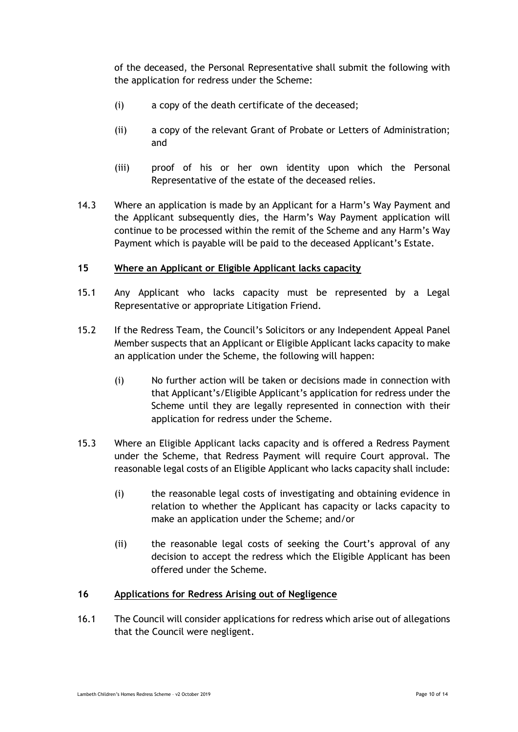of the deceased, the Personal Representative shall submit the following with the application for redress under the Scheme:

- (i) a copy of the death certificate of the deceased;
- (ii) a copy of the relevant Grant of Probate or Letters of Administration; and
- (iii) proof of his or her own identity upon which the Personal Representative of the estate of the deceased relies.
- 14.3 Where an application is made by an Applicant for a Harm's Way Payment and the Applicant subsequently dies, the Harm's Way Payment application will continue to be processed within the remit of the Scheme and any Harm's Way Payment which is payable will be paid to the deceased Applicant's Estate.

### **15 Where an Applicant or Eligible Applicant lacks capacity**

- 15.1 Any Applicant who lacks capacity must be represented by a Legal Representative or appropriate Litigation Friend.
- 15.2 If the Redress Team, the Council's Solicitors or any Independent Appeal Panel Member suspects that an Applicant or Eligible Applicant lacks capacity to make an application under the Scheme, the following will happen:
	- (i) No further action will be taken or decisions made in connection with that Applicant's/Eligible Applicant's application for redress under the Scheme until they are legally represented in connection with their application for redress under the Scheme.
- 15.3 Where an Eligible Applicant lacks capacity and is offered a Redress Payment under the Scheme, that Redress Payment will require Court approval. The reasonable legal costs of an Eligible Applicant who lacks capacity shall include:
	- (i) the reasonable legal costs of investigating and obtaining evidence in relation to whether the Applicant has capacity or lacks capacity to make an application under the Scheme; and/or
	- (ii) the reasonable legal costs of seeking the Court's approval of any decision to accept the redress which the Eligible Applicant has been offered under the Scheme.

### **16 Applications for Redress Arising out of Negligence**

16.1 The Council will consider applications for redress which arise out of allegations that the Council were negligent.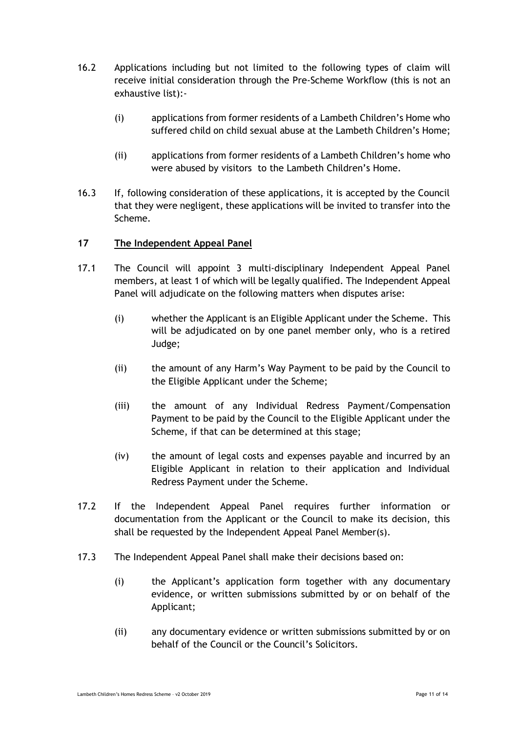- 16.2 Applications including but not limited to the following types of claim will receive initial consideration through the Pre-Scheme Workflow (this is not an exhaustive list):-
	- (i) applications from former residents of a Lambeth Children's Home who suffered child on child sexual abuse at the Lambeth Children's Home;
	- (ii) applications from former residents of a Lambeth Children's home who were abused by visitors to the Lambeth Children's Home.
- 16.3 If, following consideration of these applications, it is accepted by the Council that they were negligent, these applications will be invited to transfer into the Scheme.

### **17 The Independent Appeal Panel**

- 17.1 The Council will appoint 3 multi-disciplinary Independent Appeal Panel members, at least 1 of which will be legally qualified. The Independent Appeal Panel will adjudicate on the following matters when disputes arise:
	- (i) whether the Applicant is an Eligible Applicant under the Scheme. This will be adjudicated on by one panel member only, who is a retired Judge;
	- (ii) the amount of any Harm's Way Payment to be paid by the Council to the Eligible Applicant under the Scheme;
	- (iii) the amount of any Individual Redress Payment/Compensation Payment to be paid by the Council to the Eligible Applicant under the Scheme, if that can be determined at this stage;
	- (iv) the amount of legal costs and expenses payable and incurred by an Eligible Applicant in relation to their application and Individual Redress Payment under the Scheme.
- 17.2 If the Independent Appeal Panel requires further information or documentation from the Applicant or the Council to make its decision, this shall be requested by the Independent Appeal Panel Member(s).
- 17.3 The Independent Appeal Panel shall make their decisions based on:
	- (i) the Applicant's application form together with any documentary evidence, or written submissions submitted by or on behalf of the Applicant;
	- (ii) any documentary evidence or written submissions submitted by or on behalf of the Council or the Council's Solicitors.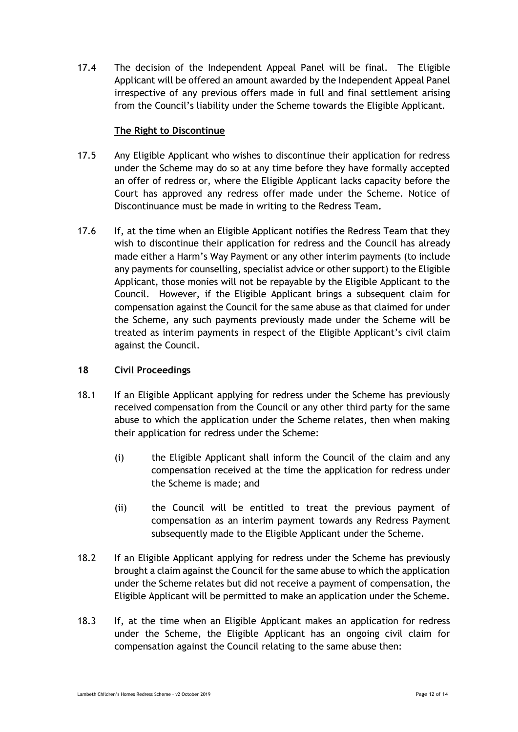17.4 The decision of the Independent Appeal Panel will be final. The Eligible Applicant will be offered an amount awarded by the Independent Appeal Panel irrespective of any previous offers made in full and final settlement arising from the Council's liability under the Scheme towards the Eligible Applicant.

### **The Right to Discontinue**

- 17.5 Any Eligible Applicant who wishes to discontinue their application for redress under the Scheme may do so at any time before they have formally accepted an offer of redress or, where the Eligible Applicant lacks capacity before the Court has approved any redress offer made under the Scheme. Notice of Discontinuance must be made in writing to the Redress Team**.**
- 17.6 If, at the time when an Eligible Applicant notifies the Redress Team that they wish to discontinue their application for redress and the Council has already made either a Harm's Way Payment or any other interim payments (to include any payments for counselling, specialist advice or other support) to the Eligible Applicant, those monies will not be repayable by the Eligible Applicant to the Council. However, if the Eligible Applicant brings a subsequent claim for compensation against the Council for the same abuse as that claimed for under the Scheme, any such payments previously made under the Scheme will be treated as interim payments in respect of the Eligible Applicant's civil claim against the Council.

### **18 Civil Proceedings**

- 18.1 If an Eligible Applicant applying for redress under the Scheme has previously received compensation from the Council or any other third party for the same abuse to which the application under the Scheme relates, then when making their application for redress under the Scheme:
	- (i) the Eligible Applicant shall inform the Council of the claim and any compensation received at the time the application for redress under the Scheme is made; and
	- (ii) the Council will be entitled to treat the previous payment of compensation as an interim payment towards any Redress Payment subsequently made to the Eligible Applicant under the Scheme.
- 18.2 If an Eligible Applicant applying for redress under the Scheme has previously brought a claim against the Council for the same abuse to which the application under the Scheme relates but did not receive a payment of compensation, the Eligible Applicant will be permitted to make an application under the Scheme.
- 18.3 If, at the time when an Eligible Applicant makes an application for redress under the Scheme, the Eligible Applicant has an ongoing civil claim for compensation against the Council relating to the same abuse then: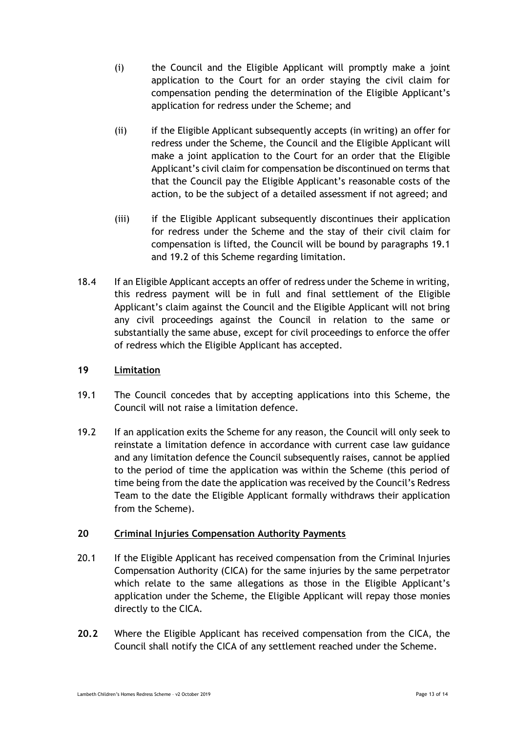- (i) the Council and the Eligible Applicant will promptly make a joint application to the Court for an order staying the civil claim for compensation pending the determination of the Eligible Applicant's application for redress under the Scheme; and
- (ii) if the Eligible Applicant subsequently accepts (in writing) an offer for redress under the Scheme, the Council and the Eligible Applicant will make a joint application to the Court for an order that the Eligible Applicant's civil claim for compensation be discontinued on terms that that the Council pay the Eligible Applicant's reasonable costs of the action, to be the subject of a detailed assessment if not agreed; and
- (iii) if the Eligible Applicant subsequently discontinues their application for redress under the Scheme and the stay of their civil claim for compensation is lifted, the Council will be bound by paragraphs 19.1 and 19.2 of this Scheme regarding limitation.
- 18.4 If an Eligible Applicant accepts an offer of redress under the Scheme in writing, this redress payment will be in full and final settlement of the Eligible Applicant's claim against the Council and the Eligible Applicant will not bring any civil proceedings against the Council in relation to the same or substantially the same abuse, except for civil proceedings to enforce the offer of redress which the Eligible Applicant has accepted.

### **19 Limitation**

- 19.1 The Council concedes that by accepting applications into this Scheme, the Council will not raise a limitation defence.
- 19.2 If an application exits the Scheme for any reason, the Council will only seek to reinstate a limitation defence in accordance with current case law guidance and any limitation defence the Council subsequently raises, cannot be applied to the period of time the application was within the Scheme (this period of time being from the date the application was received by the Council's Redress Team to the date the Eligible Applicant formally withdraws their application from the Scheme).

### **20 Criminal Injuries Compensation Authority Payments**

- 20.1 If the Eligible Applicant has received compensation from the Criminal Injuries Compensation Authority (CICA) for the same injuries by the same perpetrator which relate to the same allegations as those in the Eligible Applicant's application under the Scheme, the Eligible Applicant will repay those monies directly to the CICA.
- **20.2** Where the Eligible Applicant has received compensation from the CICA, the Council shall notify the CICA of any settlement reached under the Scheme.